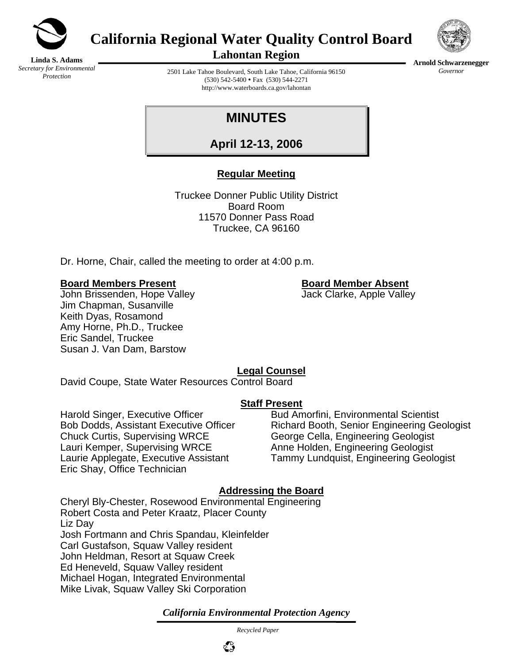

**California Regional Water Quality Control Board** 



**Linda S. Adams**  *Secretary for Environmental Protection* 

**Lahontan Region** 

2501 Lake Tahoe Boulevard, South Lake Tahoe, California 96150 (530) 542-5400 • Fax (530) 544-2271 http://www.waterboards.ca.gov/lahontan

# **MINUTES**

**April 12-13, 2006**

## **Regular Meeting**

Truckee Donner Public Utility District Board Room 11570 Donner Pass Road Truckee, CA 96160

Dr. Horne, Chair, called the meeting to order at 4:00 p.m.

### **Board Members Present Board Member Absent**

John Brissenden, Hope Valley **Jack Clarke**, Apple Valley Jim Chapman, Susanville Keith Dyas, Rosamond Amy Horne, Ph.D., Truckee Eric Sandel, Truckee Susan J. Van Dam, Barstow

## **Legal Counsel**

David Coupe, State Water Resources Control Board

## **Staff Present**

Harold Singer, Executive Officer **Bud Amorfini**, Environmental Scientist Chuck Curtis, Supervising WRCE George Cella, Engineering Geologist Lauri Kemper, Supervising WRCE Anne Holden, Engineering Geologist Eric Shay, Office Technician

Bob Dodds, Assistant Executive Officer Richard Booth, Senior Engineering Geologist Laurie Applegate, Executive Assistant Tammy Lundquist, Engineering Geologist

## **Addressing the Board**

Cheryl Bly-Chester, Rosewood Environmental Engineering Robert Costa and Peter Kraatz, Placer County Liz Day Josh Fortmann and Chris Spandau, Kleinfelder Carl Gustafson, Squaw Valley resident John Heldman, Resort at Squaw Creek Ed Heneveld, Squaw Valley resident Michael Hogan, Integrated Environmental Mike Livak, Squaw Valley Ski Corporation

*California Environmental Protection Agency*

 *Recycled Paper*



**Arnold Schwarzenegger** *Governor*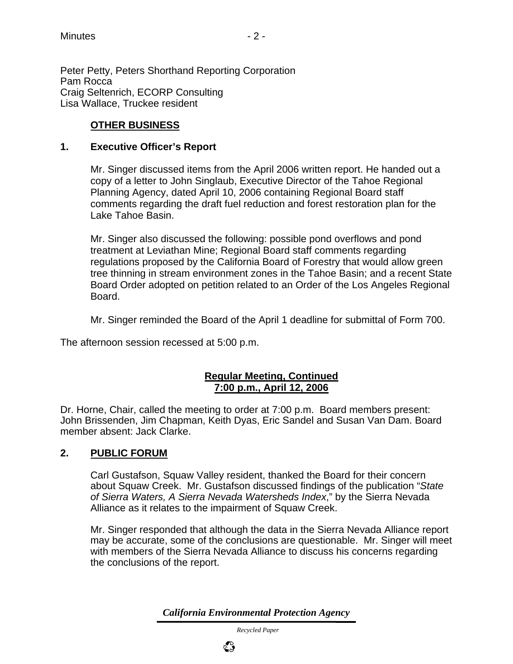Peter Petty, Peters Shorthand Reporting Corporation Pam Rocca Craig Seltenrich, ECORP Consulting Lisa Wallace, Truckee resident

## **OTHER BUSINESS**

#### **1. Executive Officer's Report**

Mr. Singer discussed items from the April 2006 written report. He handed out a copy of a letter to John Singlaub, Executive Director of the Tahoe Regional Planning Agency, dated April 10, 2006 containing Regional Board staff comments regarding the draft fuel reduction and forest restoration plan for the Lake Tahoe Basin.

Mr. Singer also discussed the following: possible pond overflows and pond treatment at Leviathan Mine; Regional Board staff comments regarding regulations proposed by the California Board of Forestry that would allow green tree thinning in stream environment zones in the Tahoe Basin; and a recent State Board Order adopted on petition related to an Order of the Los Angeles Regional Board.

Mr. Singer reminded the Board of the April 1 deadline for submittal of Form 700.

The afternoon session recessed at 5:00 p.m.

### **Regular Meeting, Continued 7:00 p.m., April 12, 2006**

Dr. Horne, Chair, called the meeting to order at 7:00 p.m. Board members present: John Brissenden, Jim Chapman, Keith Dyas, Eric Sandel and Susan Van Dam. Board member absent: Jack Clarke.

## **2. PUBLIC FORUM**

Carl Gustafson, Squaw Valley resident, thanked the Board for their concern about Squaw Creek. Mr. Gustafson discussed findings of the publication "*State of Sierra Waters, A Sierra Nevada Watersheds Index*," by the Sierra Nevada Alliance as it relates to the impairment of Squaw Creek.

Mr. Singer responded that although the data in the Sierra Nevada Alliance report may be accurate, some of the conclusions are questionable. Mr. Singer will meet with members of the Sierra Nevada Alliance to discuss his concerns regarding the conclusions of the report.

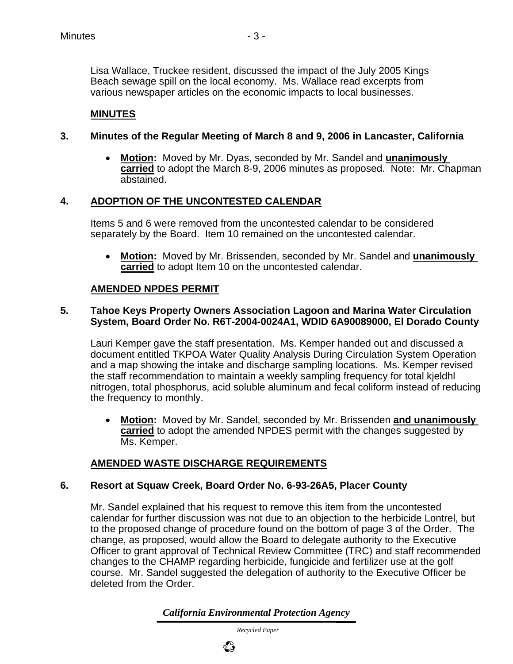Lisa Wallace, Truckee resident, discussed the impact of the July 2005 Kings Beach sewage spill on the local economy. Ms. Wallace read excerpts from various newspaper articles on the economic impacts to local businesses.

## **MINUTES**

### **3. Minutes of the Regular Meeting of March 8 and 9, 2006 in Lancaster, California**

• **Motion:** Moved by Mr. Dyas, seconded by Mr. Sandel and **unanimously carried** to adopt the March 8-9, 2006 minutes as proposed. Note: Mr. Chapman abstained.

### **4. ADOPTION OF THE UNCONTESTED CALENDAR**

Items 5 and 6 were removed from the uncontested calendar to be considered separately by the Board. Item 10 remained on the uncontested calendar.

• **Motion:** Moved by Mr. Brissenden, seconded by Mr. Sandel and **unanimously carried** to adopt Item 10 on the uncontested calendar.

#### **AMENDED NPDES PERMIT**

#### **5. Tahoe Keys Property Owners Association Lagoon and Marina Water Circulation System, Board Order No. R6T-2004-0024A1, WDID 6A90089000, El Dorado County**

Lauri Kemper gave the staff presentation. Ms. Kemper handed out and discussed a document entitled TKPOA Water Quality Analysis During Circulation System Operation and a map showing the intake and discharge sampling locations. Ms. Kemper revised the staff recommendation to maintain a weekly sampling frequency for total kjeldhl nitrogen, total phosphorus, acid soluble aluminum and fecal coliform instead of reducing the frequency to monthly.

• **Motion:** Moved by Mr. Sandel, seconded by Mr. Brissenden **and unanimously carried** to adopt the amended NPDES permit with the changes suggested by Ms. Kemper.

#### **AMENDED WASTE DISCHARGE REQUIREMENTS**

#### **6. Resort at Squaw Creek, Board Order No. 6-93-26A5, Placer County**

Mr. Sandel explained that his request to remove this item from the uncontested calendar for further discussion was not due to an objection to the herbicide Lontrel, but to the proposed change of procedure found on the bottom of page 3 of the Order. The change, as proposed, would allow the Board to delegate authority to the Executive Officer to grant approval of Technical Review Committee (TRC) and staff recommended changes to the CHAMP regarding herbicide, fungicide and fertilizer use at the golf course. Mr. Sandel suggested the delegation of authority to the Executive Officer be deleted from the Order.

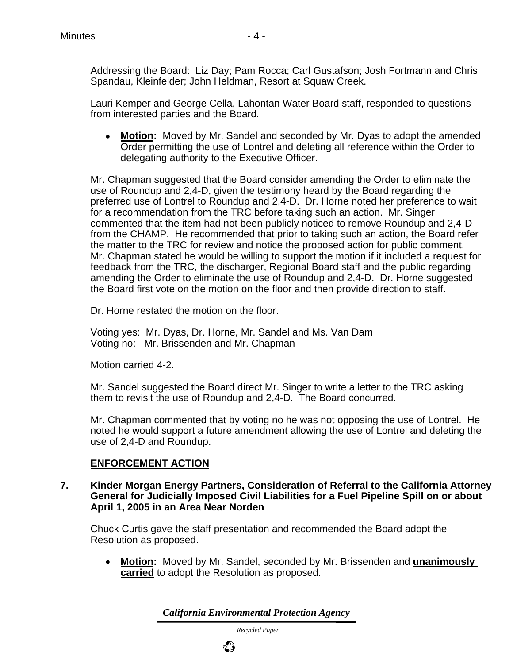Addressing the Board: Liz Day; Pam Rocca; Carl Gustafson; Josh Fortmann and Chris Spandau, Kleinfelder; John Heldman, Resort at Squaw Creek.

Lauri Kemper and George Cella, Lahontan Water Board staff, responded to questions from interested parties and the Board.

• **Motion:** Moved by Mr. Sandel and seconded by Mr. Dyas to adopt the amended Order permitting the use of Lontrel and deleting all reference within the Order to delegating authority to the Executive Officer.

Mr. Chapman suggested that the Board consider amending the Order to eliminate the use of Roundup and 2,4-D, given the testimony heard by the Board regarding the preferred use of Lontrel to Roundup and 2,4-D. Dr. Horne noted her preference to wait for a recommendation from the TRC before taking such an action. Mr. Singer commented that the item had not been publicly noticed to remove Roundup and 2,4-D from the CHAMP. He recommended that prior to taking such an action, the Board refer the matter to the TRC for review and notice the proposed action for public comment. Mr. Chapman stated he would be willing to support the motion if it included a request for feedback from the TRC, the discharger, Regional Board staff and the public regarding amending the Order to eliminate the use of Roundup and 2,4-D. Dr. Horne suggested the Board first vote on the motion on the floor and then provide direction to staff.

Dr. Horne restated the motion on the floor.

Voting yes: Mr. Dyas, Dr. Horne, Mr. Sandel and Ms. Van Dam Voting no: Mr. Brissenden and Mr. Chapman

Motion carried 4-2.

Mr. Sandel suggested the Board direct Mr. Singer to write a letter to the TRC asking them to revisit the use of Roundup and 2,4-D. The Board concurred.

Mr. Chapman commented that by voting no he was not opposing the use of Lontrel. He noted he would support a future amendment allowing the use of Lontrel and deleting the use of 2,4-D and Roundup.

## **ENFORCEMENT ACTION**

**7. Kinder Morgan Energy Partners, Consideration of Referral to the California Attorney General for Judicially Imposed Civil Liabilities for a Fuel Pipeline Spill on or about April 1, 2005 in an Area Near Norden**

Chuck Curtis gave the staff presentation and recommended the Board adopt the Resolution as proposed.

• **Motion:** Moved by Mr. Sandel, seconded by Mr. Brissenden and **unanimously carried** to adopt the Resolution as proposed.

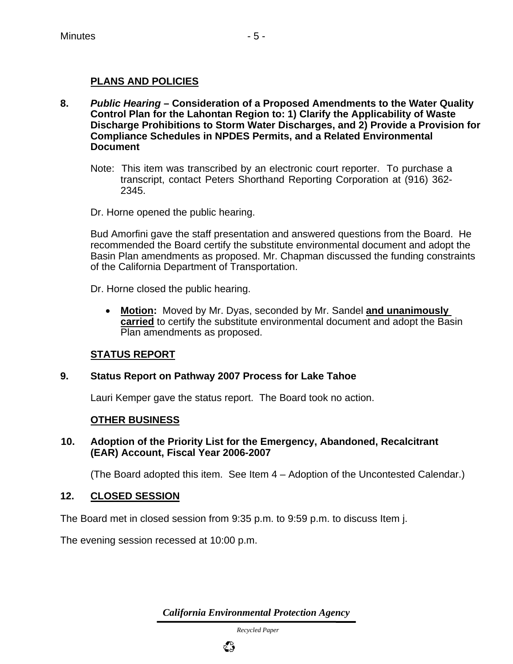### **PLANS AND POLICIES**

- **8.** *Public Hearing* **Consideration of a Proposed Amendments to the Water Quality Control Plan for the Lahontan Region to: 1) Clarify the Applicability of Waste Discharge Prohibitions to Storm Water Discharges, and 2) Provide a Provision for Compliance Schedules in NPDES Permits, and a Related Environmental Document** 
	- Note: This item was transcribed by an electronic court reporter. To purchase a transcript, contact Peters Shorthand Reporting Corporation at (916) 362- 2345.

Dr. Horne opened the public hearing.

Bud Amorfini gave the staff presentation and answered questions from the Board. He recommended the Board certify the substitute environmental document and adopt the Basin Plan amendments as proposed. Mr. Chapman discussed the funding constraints of the California Department of Transportation.

Dr. Horne closed the public hearing.

• **Motion:** Moved by Mr. Dyas, seconded by Mr. Sandel **and unanimously carried** to certify the substitute environmental document and adopt the Basin Plan amendments as proposed.

#### **STATUS REPORT**

#### **9. Status Report on Pathway 2007 Process for Lake Tahoe**

Lauri Kemper gave the status report. The Board took no action.

#### **OTHER BUSINESS**

 **10. Adoption of the Priority List for the Emergency, Abandoned, Recalcitrant (EAR) Account, Fiscal Year 2006-2007** 

(The Board adopted this item. See Item 4 – Adoption of the Uncontested Calendar.)

#### **12. CLOSED SESSION**

The Board met in closed session from 9:35 p.m. to 9:59 p.m. to discuss Item j.

The evening session recessed at 10:00 p.m.

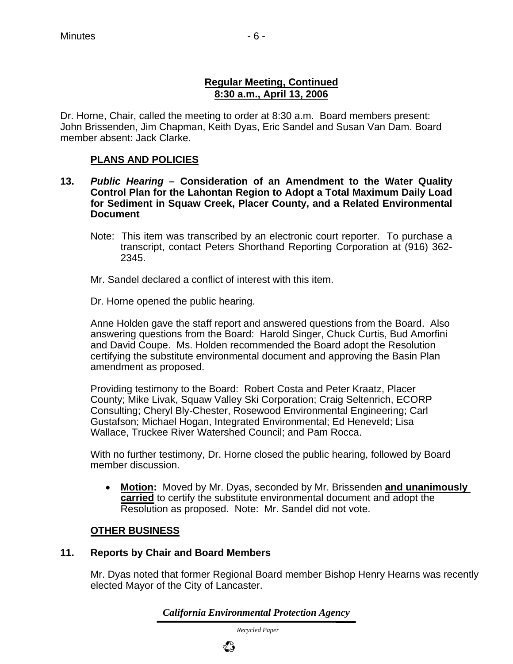## **Regular Meeting, Continued 8:30 a.m., April 13, 2006**

Dr. Horne, Chair, called the meeting to order at 8:30 a.m. Board members present: John Brissenden, Jim Chapman, Keith Dyas, Eric Sandel and Susan Van Dam. Board member absent: Jack Clarke.

## **PLANS AND POLICIES**

- **13.** *Public Hearing* **Consideration of an Amendment to the Water Quality Control Plan for the Lahontan Region to Adopt a Total Maximum Daily Load for Sediment in Squaw Creek, Placer County, and a Related Environmental Document** 
	- Note: This item was transcribed by an electronic court reporter. To purchase a transcript, contact Peters Shorthand Reporting Corporation at (916) 362- 2345.
	- Mr. Sandel declared a conflict of interest with this item.

Dr. Horne opened the public hearing.

Anne Holden gave the staff report and answered questions from the Board. Also answering questions from the Board: Harold Singer, Chuck Curtis, Bud Amorfini and David Coupe. Ms. Holden recommended the Board adopt the Resolution certifying the substitute environmental document and approving the Basin Plan amendment as proposed.

Providing testimony to the Board: Robert Costa and Peter Kraatz, Placer County; Mike Livak, Squaw Valley Ski Corporation; Craig Seltenrich, ECORP Consulting; Cheryl Bly-Chester, Rosewood Environmental Engineering; Carl Gustafson; Michael Hogan, Integrated Environmental; Ed Heneveld; Lisa Wallace, Truckee River Watershed Council; and Pam Rocca.

With no further testimony, Dr. Horne closed the public hearing, followed by Board member discussion.

• **Motion:** Moved by Mr. Dyas, seconded by Mr. Brissenden **and unanimously carried** to certify the substitute environmental document and adopt the Resolution as proposed. Note: Mr. Sandel did not vote.

## **OTHER BUSINESS**

#### **11. Reports by Chair and Board Members**

Mr. Dyas noted that former Regional Board member Bishop Henry Hearns was recently elected Mayor of the City of Lancaster.